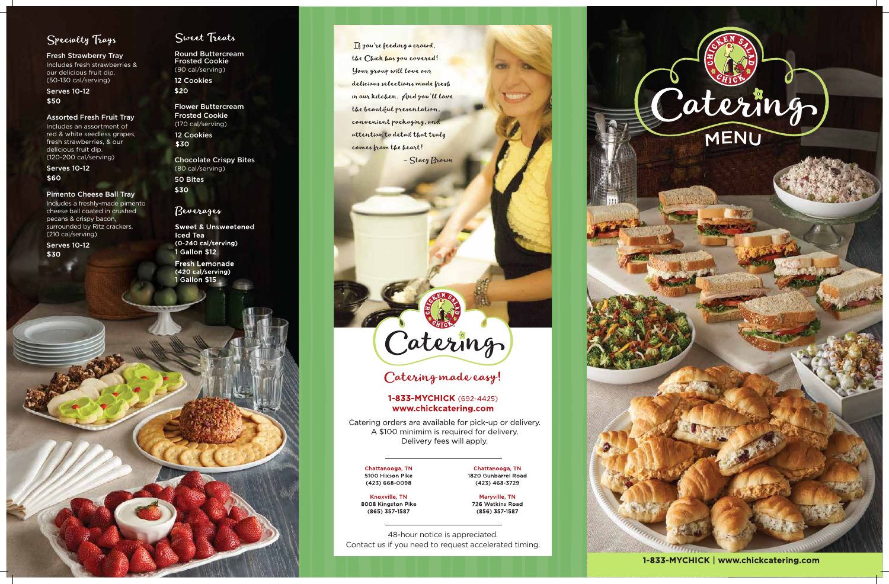

1-833-MYCHICK | www.chickcatering.com

Fresh Strawberry Tray Includes fresh strawberries & our delicious fruit dip.

Serves 10-12 \$50

# Specialty Trays

(50-130 cal/serving)

#### Assorted Fresh Fruit Tray

Serves 10-12 \$60

Includes an assortment of red & white seedless grapes, fresh strawberries, & our delicious fruit dip. (120-200 cal/serving)

Serves 10-12 **\$30** 

### Sweet Treats

Flower Buttercream Frosted Cookie (170 cal/serving) 12 Cookies \$30

#### Pimento Cheese Ball Tray

Includes a freshly-made pimento cheese ball coated in crushed pecans & crispy bacon, surrounded by Ritz crackers. (210 cal/serving)

Round Buttercream Frosted Cookie (90 cal/serving) 12 Cookies

\$20

Chocolate Crispy Bites (80 cal/serving) 50 Bites

\$30

### Beverages

**Sweet & Unsweetened Iced Tea** (0-240 cal/serving) **1 Gallon \$12** 

**Fresh Lemonade** (420 cal/serving) 1 Gallon \$15

If you're feeding a crowd, the Chick has you covered! Your group will love our delicious selections made fresh in our kitchen. And you'll love the beautiful presentation, convenient packaging, and attention to detail that truly comes from the heart!

- Stacy Brown

# Catering

# Catering made easy!

### 1-833-MYCHICK (692-4425) www.chickcatering.com

Catering orders are available for pick-up or delivery. A \$100 minimim is required for delivery. Delivery fees will apply.

Chattanooga, TN 5100 Hixson Pike  $(423) 668 - 0098$ 

Chattanooga, TN 1820 Gunbarrel Road  $(423)$  468-3729

Knoxville, TN 8008 Kingston Pike (865) 357-1587

Marvville, TN

726 Watkins Road (856) 357-1587

48-hour notice is appreciated. Contact us if you need to request accelerated timing.